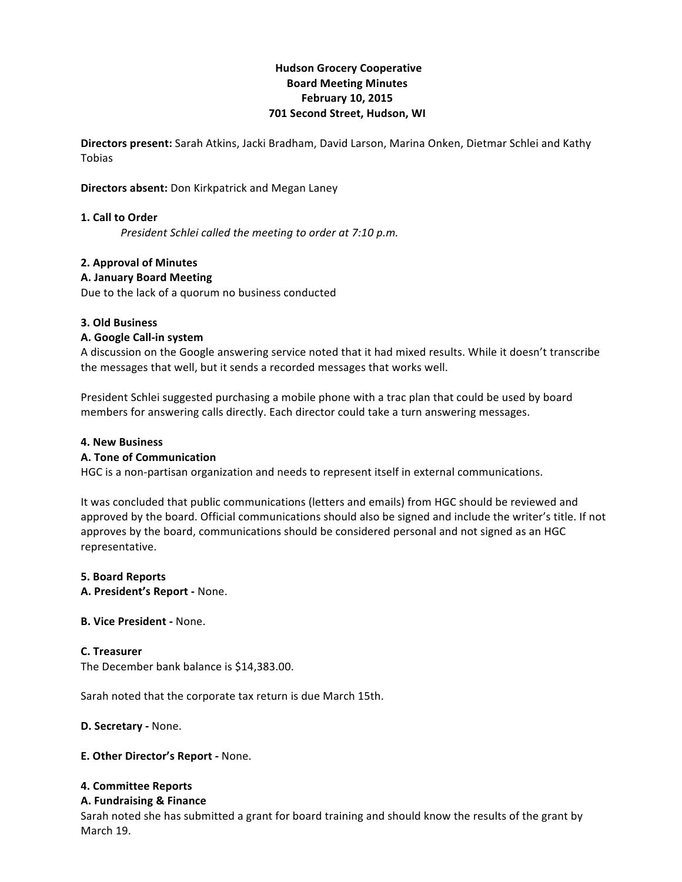# **Hudson!Grocery!Cooperative Board!Meeting!Minutes February 10, 2015 701 Second Street, Hudson, WI**

**Directors present:** Sarah Atkins, Jacki Bradham, David Larson, Marina Onken, Dietmar Schlei and Kathy Tobias

## **Directors absent:** Don Kirkpatrick and Megan Laney

## **1. Call to Order**

*President Schlei called the meeting to order at 7:10 p.m.* 

## **2. Approval of Minutes**

## **A.!January Board!Meeting**

Due to the lack of a quorum no business conducted

## **3.!Old!Business**

## **A. Google Call-in system**

A discussion on the Google answering service noted that it had mixed results. While it doesn't transcribe the messages that well, but it sends a recorded messages that works well.

President Schlei suggested purchasing a mobile phone with a trac plan that could be used by board members for answering calls directly. Each director could take a turn answering messages.

#### **4. New Business**

#### **A. Tone of Communication**

HGC is a non-partisan organization and needs to represent itself in external communications.

It was concluded that public communications (letters and emails) from HGC should be reviewed and approved by the board. Official communications should also be signed and include the writer's title. If not approves by the board, communications should be considered personal and not signed as an HGC representative.

#### **5.!Board!Reports**

**A. President's Report - None.** 

#### **B. Vice President - None.**

## **C.!Treasurer**

The December bank balance is \$14,383.00.

Sarah noted that the corporate tax return is due March 15th.

**D. Secretary - None.** 

**E. Other Director's Report - None.** 

#### **4. Committee!Reports**

#### **A. Fundraising & Finance**

Sarah noted she has submitted a grant for board training and should know the results of the grant by March 19.